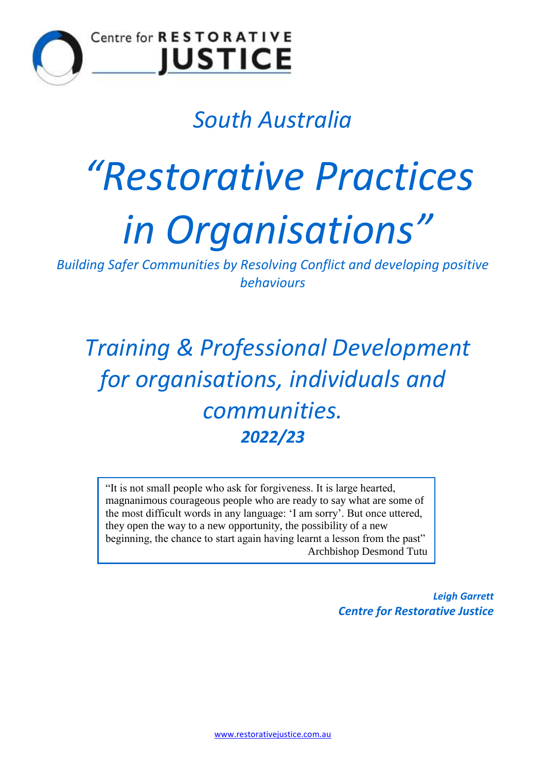

### Centre for RESTORATIVE **IUSTICE**

## *South Australia*

# *"Restorative Practices in Organisations"*

*Building Safer Communities by Resolving Conflict and developing positive behaviours*

*Training & Professional Development for organisations, individuals and communities. 2022/23*

"It is not small people who ask for forgiveness. It is large hearted, magnanimous courageous people who are ready to say what are some of the most difficult words in any language: 'I am sorry'. But once uttered, they open the way to a new opportunity, the possibility of a new beginning, the chance to start again having learnt a lesson from the past" Archbishop Desmond Tutu

> *Leigh Garrett Centre for Restorative Justice*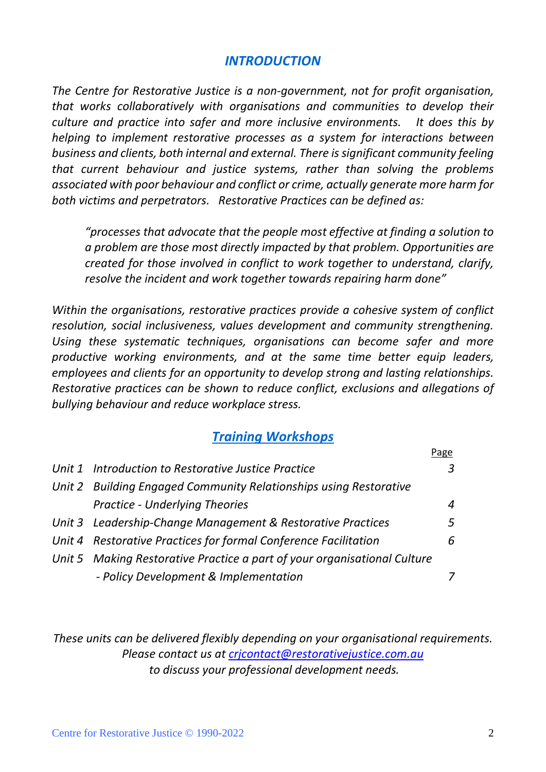#### *INTRODUCTION*

*The Centre for Restorative Justice is a non-government, not for profit organisation, that works collaboratively with organisations and communities to develop their culture and practice into safer and more inclusive environments. It does this by helping to implement restorative processes as a system for interactions between business and clients, both internal and external. There is significant community feeling that current behaviour and justice systems, rather than solving the problems associated with poor behaviour and conflict or crime, actually generate more harm for both victims and perpetrators. Restorative Practices can be defined as:*

*"processes that advocate that the people most effective at finding a solution to a problem are those most directly impacted by that problem. Opportunities are created for those involved in conflict to work together to understand, clarify, resolve the incident and work together towards repairing harm done"*

*Within the organisations, restorative practices provide a cohesive system of conflict resolution, social inclusiveness, values development and community strengthening. Using these systematic techniques, organisations can become safer and more productive working environments, and at the same time better equip leaders, employees and clients for an opportunity to develop strong and lasting relationships. Restorative practices can be shown to reduce conflict, exclusions and allegations of bullying behaviour and reduce workplace stress.*

#### *Training Workshops*

|                                                                          | Page |
|--------------------------------------------------------------------------|------|
| Unit 1 Introduction to Restorative Justice Practice                      | 3    |
| Unit 2 Building Engaged Community Relationships using Restorative        |      |
| <b>Practice - Underlying Theories</b>                                    | 4    |
| Unit 3 Leadership-Change Management & Restorative Practices              | 5    |
| Unit 4 Restorative Practices for formal Conference Facilitation<br>6     |      |
| Unit 5 Making Restorative Practice a part of your organisational Culture |      |
| - Policy Development & Implementation                                    |      |

*These units can be delivered flexibly depending on your organisational requirements. Please contact us at [crjcontact@restorativejustice.com.au](mailto:crjcontact@restorativejustice.com.au) to discuss your professional development needs.*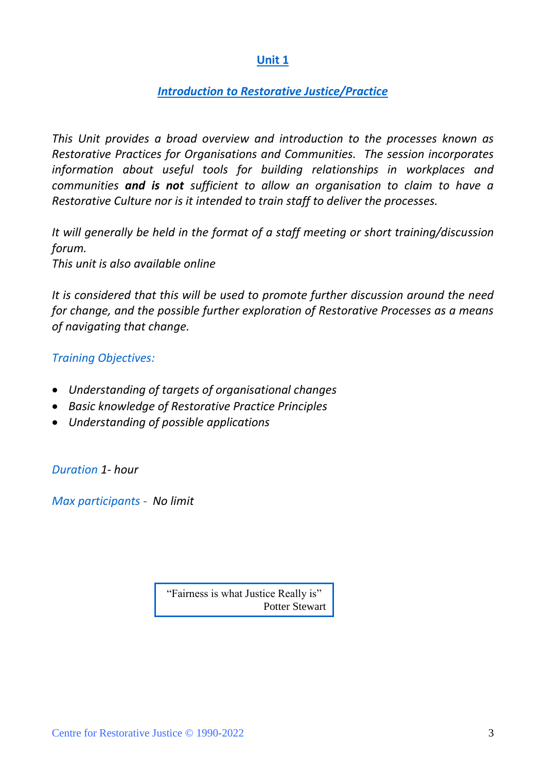#### *Introduction to Restorative Justice/Practice*

*This Unit provides a broad overview and introduction to the processes known as Restorative Practices for Organisations and Communities. The session incorporates information about useful tools for building relationships in workplaces and communities and is not sufficient to allow an organisation to claim to have a Restorative Culture nor is it intended to train staff to deliver the processes.*

*It will generally be held in the format of a staff meeting or short training/discussion forum.*

*This unit is also available online*

*It is considered that this will be used to promote further discussion around the need for change, and the possible further exploration of Restorative Processes as a means of navigating that change.*

#### *Training Objectives:*

- *Understanding of targets of organisational changes*
- *Basic knowledge of Restorative Practice Principles*
- *Understanding of possible applications*

*Duration 1- hour* 

*Max participants - No limit*

"Fairness is what Justice Really is" Potter Stewart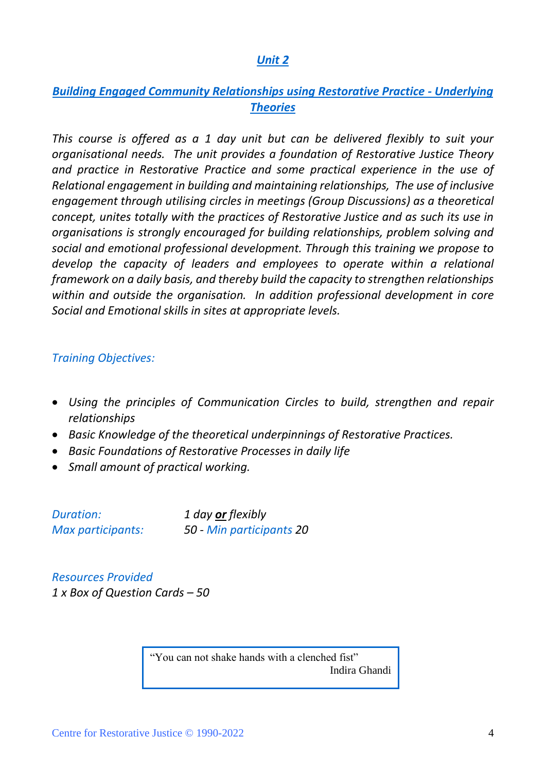#### *Building Engaged Community Relationships using Restorative Practice - Underlying Theories*

*This course is offered as a 1 day unit but can be delivered flexibly to suit your organisational needs. The unit provides a foundation of Restorative Justice Theory and practice in Restorative Practice and some practical experience in the use of Relational engagement in building and maintaining relationships, The use of inclusive engagement through utilising circles in meetings (Group Discussions) as a theoretical concept, unites totally with the practices of Restorative Justice and as such its use in organisations is strongly encouraged for building relationships, problem solving and social and emotional professional development. Through this training we propose to develop the capacity of leaders and employees to operate within a relational framework on a daily basis, and thereby build the capacity to strengthen relationships within and outside the organisation. In addition professional development in core Social and Emotional skills in sites at appropriate levels.* 

#### *Training Objectives:*

- *Using the principles of Communication Circles to build, strengthen and repair relationships*
- *Basic Knowledge of the theoretical underpinnings of Restorative Practices.*
- *Basic Foundations of Restorative Processes in daily life*
- *Small amount of practical working.*

| <b>Duration:</b>  | 1 day or flexibly        |
|-------------------|--------------------------|
| Max participants: | 50 - Min participants 20 |

*Resources Provided 1 x Box of Question Cards – 50*

> "You can not shake hands with a clenched fist" Indira Ghandi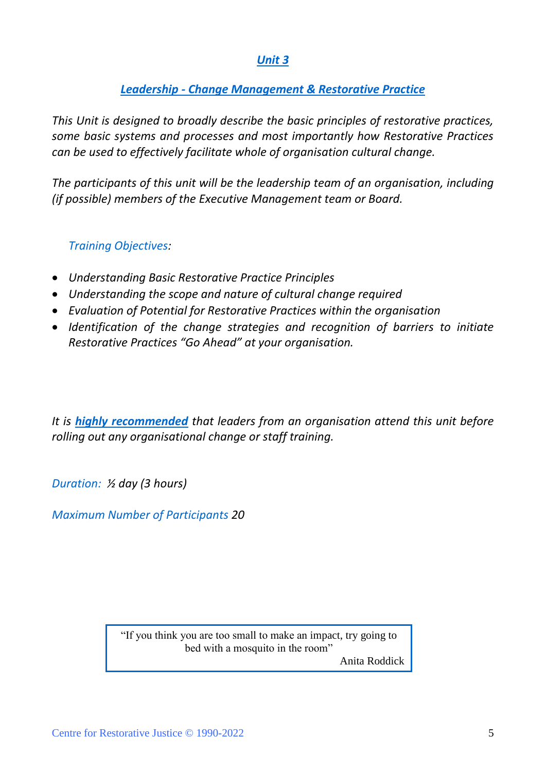#### *Leadership - Change Management & Restorative Practice*

*This Unit is designed to broadly describe the basic principles of restorative practices, some basic systems and processes and most importantly how Restorative Practices can be used to effectively facilitate whole of organisation cultural change.*

*The participants of this unit will be the leadership team of an organisation, including (if possible) members of the Executive Management team or Board.*

#### *Training Objectives:*

- *Understanding Basic Restorative Practice Principles*
- *Understanding the scope and nature of cultural change required*
- *Evaluation of Potential for Restorative Practices within the organisation*
- *Identification of the change strategies and recognition of barriers to initiate Restorative Practices "Go Ahead" at your organisation.*

*It is highly recommended that leaders from an organisation attend this unit before rolling out any organisational change or staff training.*

*Duration: ½ day (3 hours)*

*Maximum Number of Participants 20*

"If you think you are too small to make an impact, try going to bed with a mosquito in the room"

Anita Roddick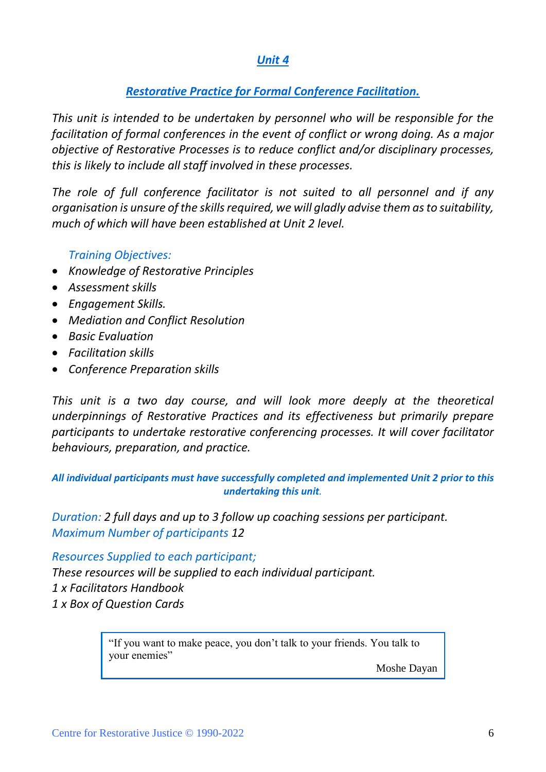#### *Restorative Practice for Formal Conference Facilitation.*

*This unit is intended to be undertaken by personnel who will be responsible for the facilitation of formal conferences in the event of conflict or wrong doing. As a major objective of Restorative Processes is to reduce conflict and/or disciplinary processes, this is likely to include all staff involved in these processes.*

*The role of full conference facilitator is not suited to all personnel and if any organisation is unsure of the skills required, we will gladly advise them as to suitability, much of which will have been established at Unit 2 level.*

#### *Training Objectives:*

- *Knowledge of Restorative Principles*
- *Assessment skills*
- *Engagement Skills.*
- *Mediation and Conflict Resolution*
- *Basic Evaluation*
- *Facilitation skills*
- *Conference Preparation skills*

*This unit is a two day course, and will look more deeply at the theoretical underpinnings of Restorative Practices and its effectiveness but primarily prepare participants to undertake restorative conferencing processes. It will cover facilitator behaviours, preparation, and practice.*

*All individual participants must have successfully completed and implemented Unit 2 prior to this undertaking this unit.*

*Duration: 2 full days and up to 3 follow up coaching sessions per participant. Maximum Number of participants 12*

*Resources Supplied to each participant;*

*These resources will be supplied to each individual participant. 1 x Facilitators Handbook 1 x Box of Question Cards*

> "If you want to make peace, you don't talk to your friends. You talk to your enemies"

> > Moshe Dayan